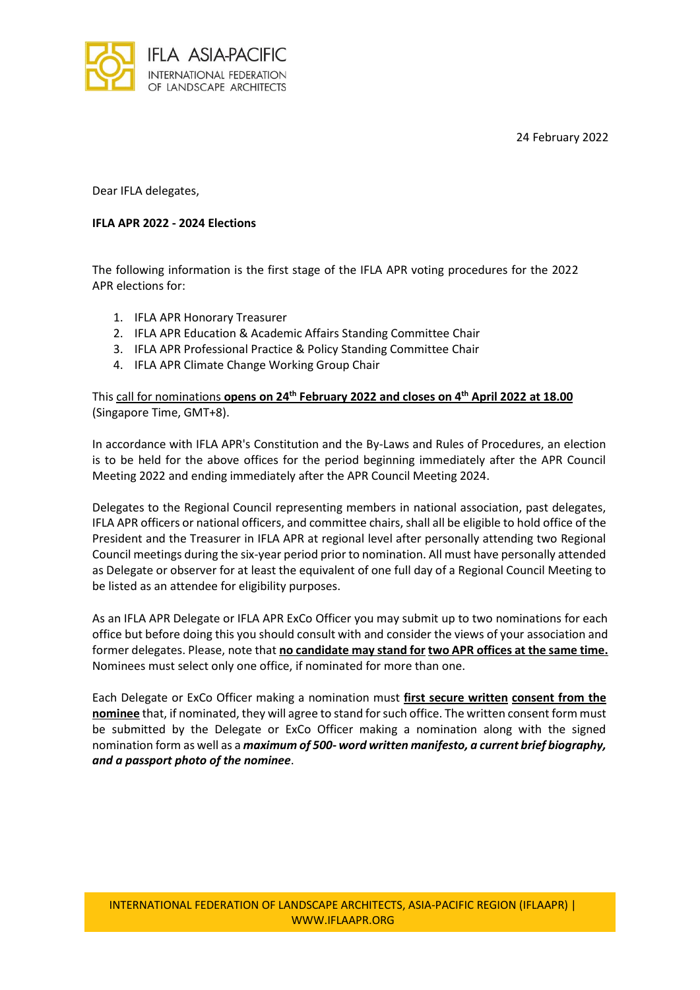24 February 2022



Dear IFLA delegates,

## **IFLA APR 2022 - 2024 Elections**

The following information is the first stage of the IFLA APR voting procedures for the 2022 APR elections for:

- 1. IFLA APR Honorary Treasurer
- 2. IFLA APR Education & Academic Affairs Standing Committee Chair
- 3. IFLA APR Professional Practice & Policy Standing Committee Chair
- 4. IFLA APR Climate Change Working Group Chair

This call for nominations **opens on 24th February 2022 and closes on 4 th April 2022 at 18.00** (Singapore Time, GMT+8).

In accordance with IFLA APR's Constitution and the By-Laws and Rules of Procedures, an election is to be held for the above offices for the period beginning immediately after the APR Council Meeting 2022 and ending immediately after the APR Council Meeting 2024.

Delegates to the Regional Council representing members in national association, past delegates, IFLA APR officers or national officers, and committee chairs, shall all be eligible to hold office of the President and the Treasurer in IFLA APR at regional level after personally attending two Regional Council meetings during the six-year period prior to nomination. All must have personally attended as Delegate or observer for at least the equivalent of one full day of a Regional Council Meeting to be listed as an attendee for eligibility purposes.

As an IFLA APR Delegate or IFLA APR ExCo Officer you may submit up to two nominations for each office but before doing this you should consult with and consider the views of your association and former delegates. Please, note that **no candidate may stand for two APR offices at the same time.** Nominees must select only one office, if nominated for more than one.

Each Delegate or ExCo Officer making a nomination must **first secure written consent from the nominee** that, if nominated, they will agree to stand for such office. The written consent form must be submitted by the Delegate or ExCo Officer making a nomination along with the signed nomination form as well as a *maximum of 500- word written manifesto, a current brief biography, and a passport photo of the nominee*.